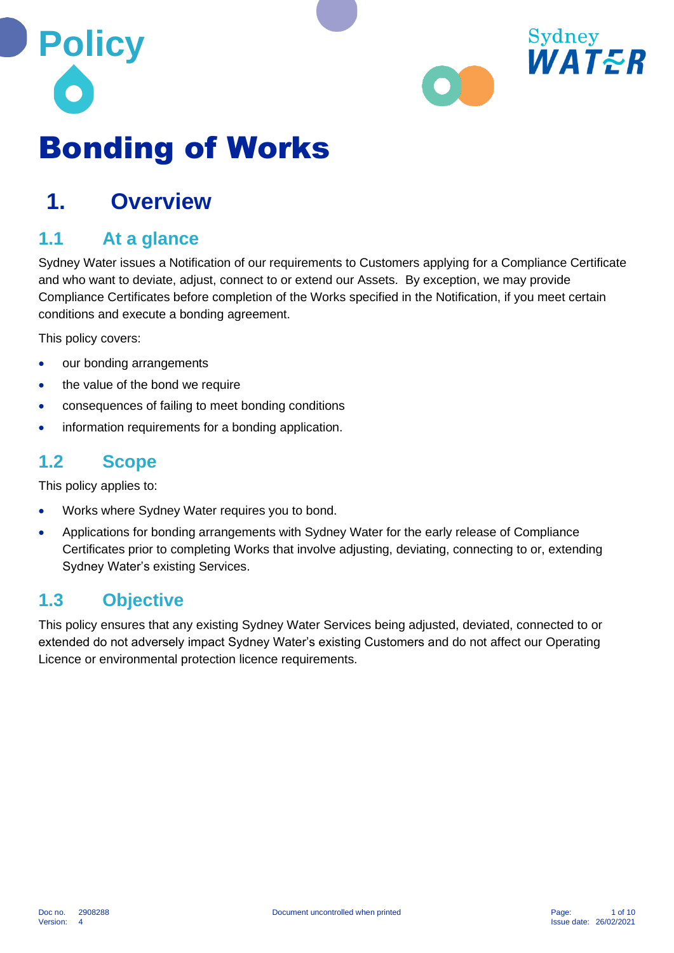



# Bonding of Works

### **1. Overview**

### **1.1 At a glance**

Sydney Water issues a Notification of our requirements to Customers applying for a Compliance Certificate and who want to deviate, adjust, connect to or extend our Assets. By exception, we may provide Compliance Certificates before completion of the Works specified in the Notification, if you meet certain conditions and execute a bonding agreement.

This policy covers:

- our bonding arrangements
- the value of the bond we require
- consequences of failing to meet bonding conditions
- information requirements for a bonding application.

#### **1.2 Scope**

This policy applies to:

- Works where Sydney Water requires you to bond.
- Applications for bonding arrangements with Sydney Water for the early release of Compliance Certificates prior to completing Works that involve adjusting, deviating, connecting to or, extending Sydney Water's existing Services.

#### **1.3 Objective**

This policy ensures that any existing Sydney Water Services being adjusted, deviated, connected to or extended do not adversely impact Sydney Water's existing Customers and do not affect our Operating Licence or environmental protection licence requirements.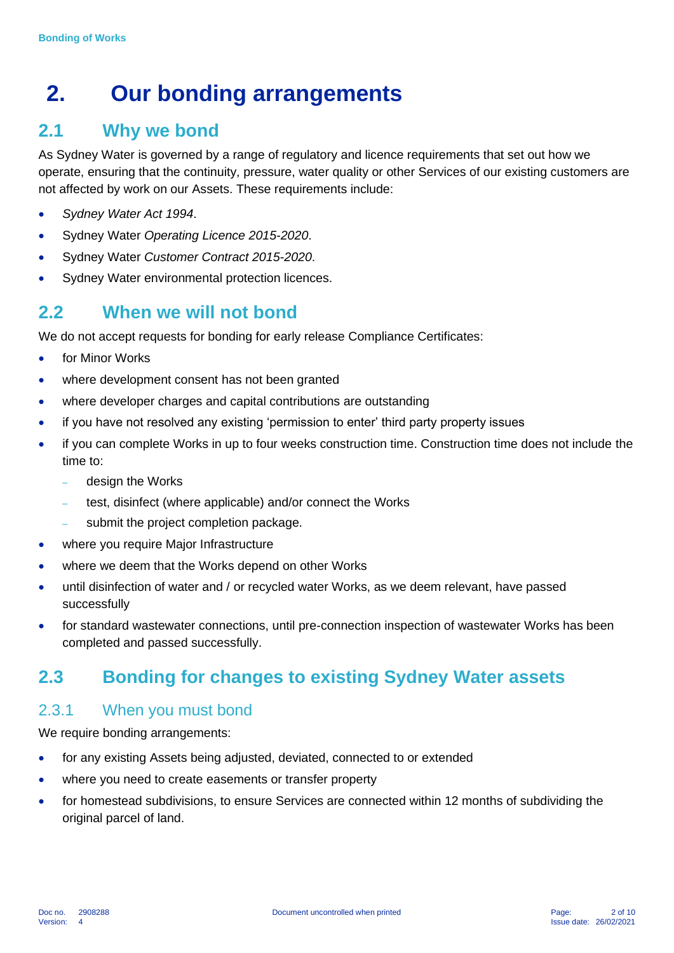## **2. Our bonding arrangements**

#### **2.1 Why we bond**

As Sydney Water is governed by a range of regulatory and licence requirements that set out how we operate, ensuring that the continuity, pressure, water quality or other Services of our existing customers are not affected by work on our Assets. These requirements include:

- *Sydney Water Act 1994*.
- Sydney Water *Operating Licence 2015-2020*.
- Sydney Water *Customer Contract 2015-2020*.
- Sydney Water environmental protection licences.

#### **2.2 When we will not bond**

We do not accept requests for bonding for early release Compliance Certificates:

- for Minor Works
- where development consent has not been granted
- where developer charges and capital contributions are outstanding
- if you have not resolved any existing 'permission to enter' third party property issues
- if you can complete Works in up to four weeks construction time. Construction time does not include the time to:
	- design the Works
	- test, disinfect (where applicable) and/or connect the Works
	- submit the project completion package.
- where you require Major Infrastructure
- where we deem that the Works depend on other Works
- until disinfection of water and / or recycled water Works, as we deem relevant, have passed successfully
- for standard wastewater connections, until pre-connection inspection of wastewater Works has been completed and passed successfully.

### **2.3 Bonding for changes to existing Sydney Water assets**

#### 2.3.1 When you must bond

We require bonding arrangements:

- for any existing Assets being adjusted, deviated, connected to or extended
- where you need to create easements or transfer property
- for homestead subdivisions, to ensure Services are connected within 12 months of subdividing the original parcel of land.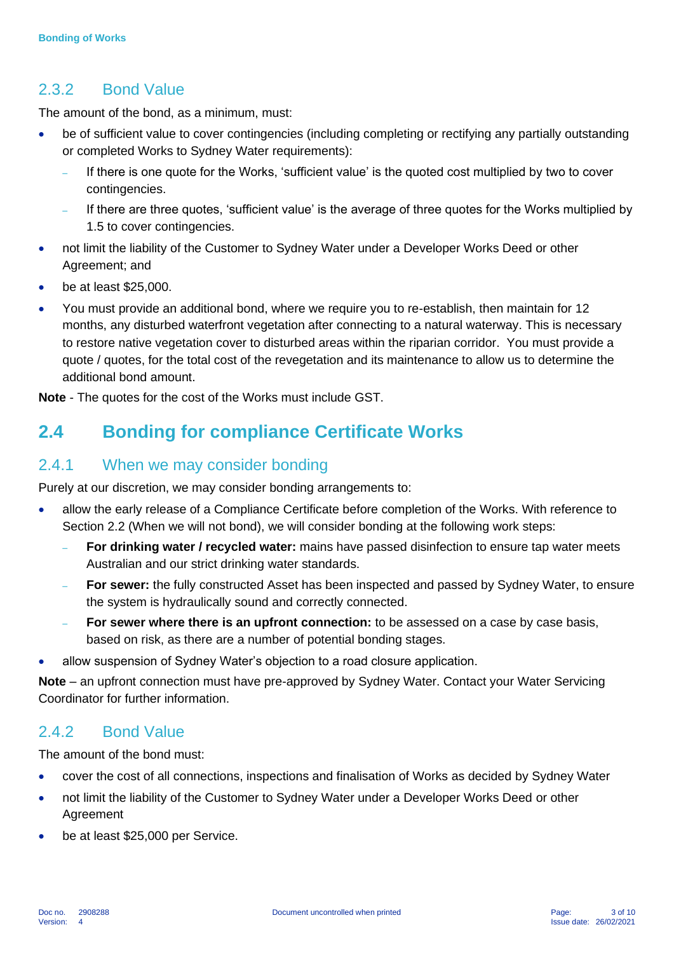#### 2.3.2 Bond Value

The amount of the bond, as a minimum, must:

- be of sufficient value to cover contingencies (including completing or rectifying any partially outstanding or completed Works to Sydney Water requirements):
	- If there is one quote for the Works, 'sufficient value' is the quoted cost multiplied by two to cover contingencies.
	- If there are three quotes, 'sufficient value' is the average of three quotes for the Works multiplied by 1.5 to cover contingencies.
- not limit the liability of the Customer to Sydney Water under a Developer Works Deed or other Agreement; and
- be at least \$25,000.
- You must provide an additional bond, where we require you to re-establish, then maintain for 12 months, any disturbed waterfront vegetation after connecting to a natural waterway. This is necessary to restore native vegetation cover to disturbed areas within the riparian corridor. You must provide a quote / quotes, for the total cost of the revegetation and its maintenance to allow us to determine the additional bond amount.

**Note** - The quotes for the cost of the Works must include GST.

### **2.4 Bonding for compliance Certificate Works**

#### 2.4.1 When we may consider bonding

Purely at our discretion, we may consider bonding arrangements to:

- allow the early release of a Compliance Certificate before completion of the Works. With reference to Section 2.2 (When we will not bond), we will consider bonding at the following work steps:
	- **For drinking water / recycled water:** mains have passed disinfection to ensure tap water meets Australian and our strict drinking water standards.
	- **For sewer:** the fully constructed Asset has been inspected and passed by Sydney Water, to ensure the system is hydraulically sound and correctly connected.
	- **For sewer where there is an upfront connection:** to be assessed on a case by case basis, based on risk, as there are a number of potential bonding stages.
- allow suspension of Sydney Water's objection to a road closure application.

**Note** – an upfront connection must have pre-approved by Sydney Water. Contact your Water Servicing Coordinator for further information.

#### 2.4.2 Bond Value

The amount of the bond must:

- cover the cost of all connections, inspections and finalisation of Works as decided by Sydney Water
- not limit the liability of the Customer to Sydney Water under a Developer Works Deed or other Agreement
- be at least \$25,000 per Service.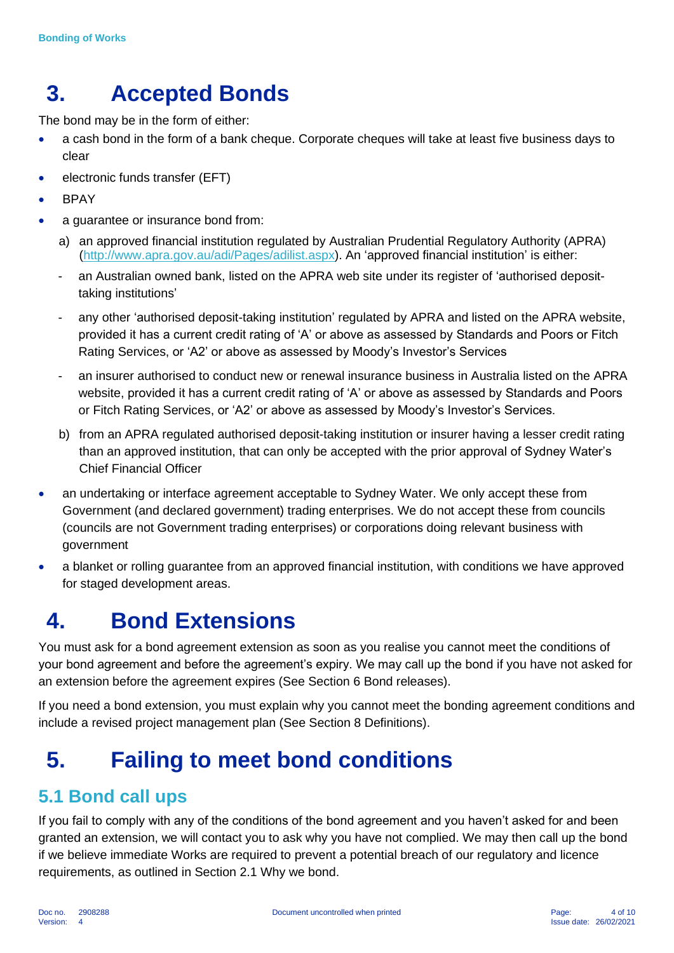## **3. Accepted Bonds**

The bond may be in the form of either:

- a cash bond in the form of a bank cheque. Corporate cheques will take at least five business days to clear
- electronic funds transfer (EFT)
- BPAY
- a guarantee or insurance bond from:
	- a) an approved financial institution regulated by Australian Prudential Regulatory Authority (APRA) [\(http://www.apra.gov.au/adi/Pages/adilist.aspx\)](http://www.apra.gov.au/adi/Pages/adilist.aspx). An 'approved financial institution' is either:
	- an Australian owned bank, listed on the APRA web site under its register of 'authorised deposittaking institutions'
	- any other 'authorised deposit-taking institution' regulated by APRA and listed on the APRA website, provided it has a current credit rating of 'A' or above as assessed by Standards and Poors or Fitch Rating Services, or 'A2' or above as assessed by Moody's Investor's Services
	- an insurer authorised to conduct new or renewal insurance business in Australia listed on the APRA website, provided it has a current credit rating of 'A' or above as assessed by Standards and Poors or Fitch Rating Services, or 'A2' or above as assessed by Moody's Investor's Services.
	- b) from an APRA regulated authorised deposit-taking institution or insurer having a lesser credit rating than an approved institution, that can only be accepted with the prior approval of Sydney Water's Chief Financial Officer
- an undertaking or interface agreement acceptable to Sydney Water. We only accept these from Government (and declared government) trading enterprises. We do not accept these from councils (councils are not Government trading enterprises) or corporations doing relevant business with government
- a blanket or rolling guarantee from an approved financial institution, with conditions we have approved for staged development areas.

## **4. Bond Extensions**

You must ask for a bond agreement extension as soon as you realise you cannot meet the conditions of your bond agreement and before the agreement's expiry. We may call up the bond if you have not asked for an extension before the agreement expires (See Section 6 Bond releases).

If you need a bond extension, you must explain why you cannot meet the bonding agreement conditions and include a revised project management plan (See Section 8 Definitions).

## **5. Failing to meet bond conditions**

### **5.1 Bond call ups**

If you fail to comply with any of the conditions of the bond agreement and you haven't asked for and been granted an extension, we will contact you to ask why you have not complied. We may then call up the bond if we believe immediate Works are required to prevent a potential breach of our regulatory and licence requirements, as outlined in Section 2.1 Why we bond.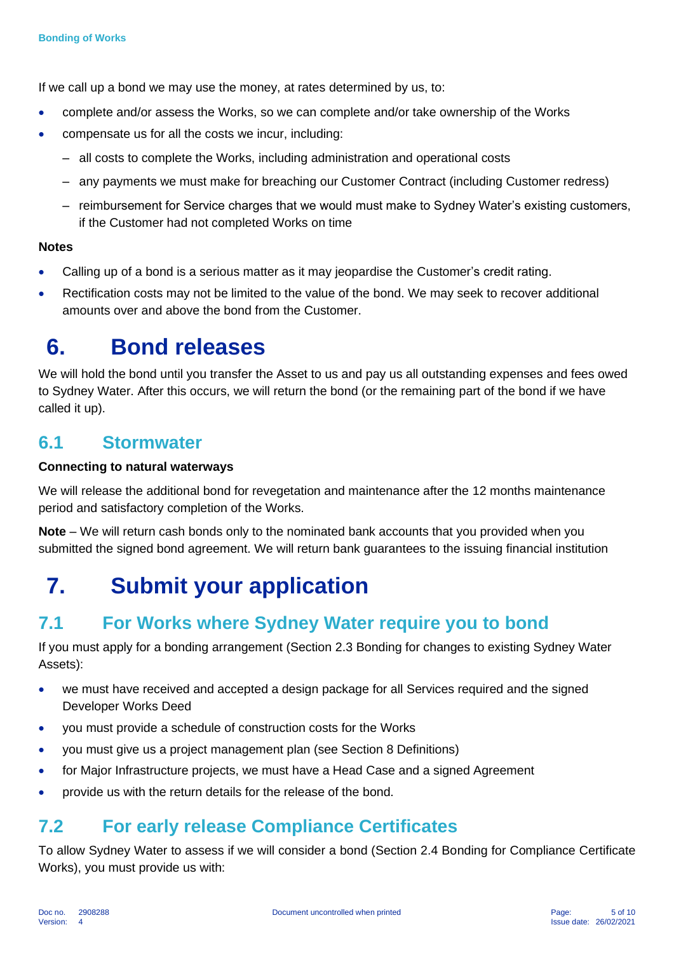If we call up a bond we may use the money, at rates determined by us, to:

- complete and/or assess the Works, so we can complete and/or take ownership of the Works
- compensate us for all the costs we incur, including:
	- all costs to complete the Works, including administration and operational costs
	- any payments we must make for breaching our Customer Contract (including Customer redress)
	- reimbursement for Service charges that we would must make to Sydney Water's existing customers, if the Customer had not completed Works on time

#### **Notes**

- Calling up of a bond is a serious matter as it may jeopardise the Customer's credit rating.
- Rectification costs may not be limited to the value of the bond. We may seek to recover additional amounts over and above the bond from the Customer.

### **6. Bond releases**

We will hold the bond until you transfer the Asset to us and pay us all outstanding expenses and fees owed to Sydney Water. After this occurs, we will return the bond (or the remaining part of the bond if we have called it up).

#### **6.1 Stormwater**

#### **Connecting to natural waterways**

We will release the additional bond for revegetation and maintenance after the 12 months maintenance period and satisfactory completion of the Works.

**Note** – We will return cash bonds only to the nominated bank accounts that you provided when you submitted the signed bond agreement. We will return bank guarantees to the issuing financial institution

## **7. Submit your application**

### **7.1 For Works where Sydney Water require you to bond**

If you must apply for a bonding arrangement (Section 2.3 Bonding for changes to existing Sydney Water Assets):

- we must have received and accepted a design package for all Services required and the signed Developer Works Deed
- you must provide a schedule of construction costs for the Works
- you must give us a project management plan (see Section 8 Definitions)
- for Major Infrastructure projects, we must have a Head Case and a signed Agreement
- provide us with the return details for the release of the bond.

#### **7.2 For early release Compliance Certificates**

To allow Sydney Water to assess if we will consider a bond (Section 2.4 Bonding for Compliance Certificate Works), you must provide us with: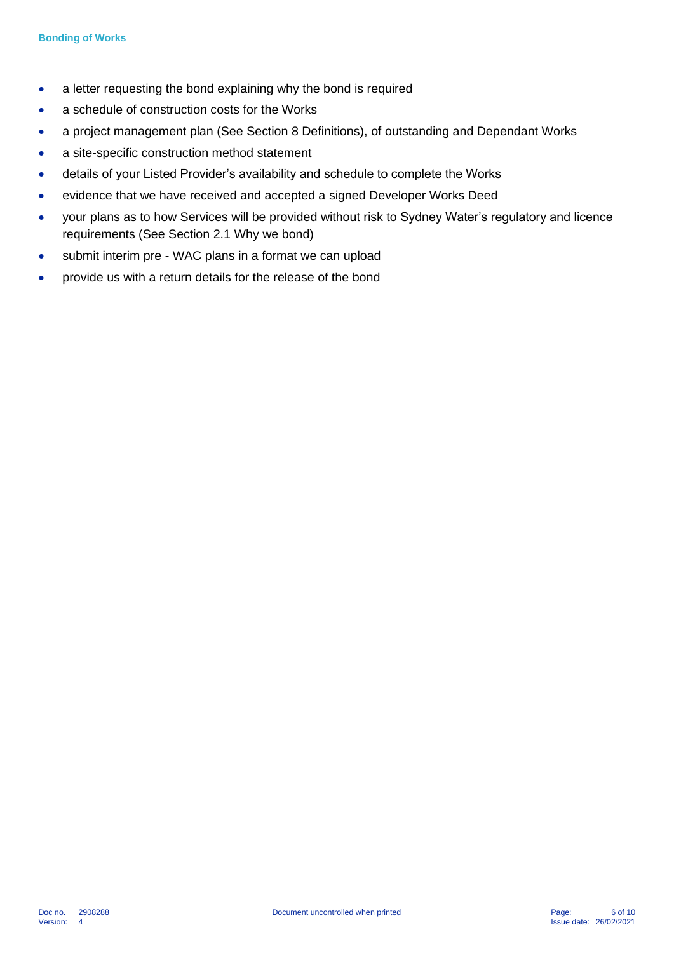- a letter requesting the bond explaining why the bond is required
- a schedule of construction costs for the Works
- a project management plan (See Section 8 Definitions), of outstanding and Dependant Works
- a site-specific construction method statement
- details of your Listed Provider's availability and schedule to complete the Works
- evidence that we have received and accepted a signed Developer Works Deed
- your plans as to how Services will be provided without risk to Sydney Water's regulatory and licence requirements (See Section 2.1 Why we bond)
- submit interim pre WAC plans in a format we can upload
- provide us with a return details for the release of the bond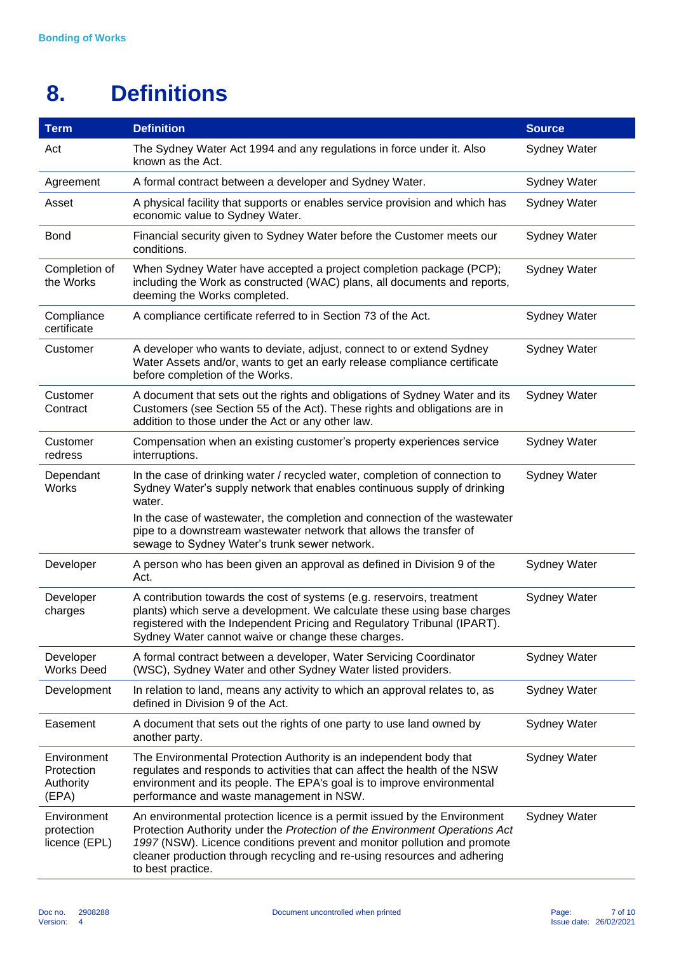## **8. Definitions**

| <b>Term</b>                                     | <b>Definition</b>                                                                                                                                                                                                                                                                                                                                     | <b>Source</b>       |
|-------------------------------------------------|-------------------------------------------------------------------------------------------------------------------------------------------------------------------------------------------------------------------------------------------------------------------------------------------------------------------------------------------------------|---------------------|
| Act                                             | The Sydney Water Act 1994 and any regulations in force under it. Also<br>known as the Act.                                                                                                                                                                                                                                                            | <b>Sydney Water</b> |
| Agreement                                       | A formal contract between a developer and Sydney Water.                                                                                                                                                                                                                                                                                               | Sydney Water        |
| Asset                                           | A physical facility that supports or enables service provision and which has<br>economic value to Sydney Water.                                                                                                                                                                                                                                       | Sydney Water        |
| <b>Bond</b>                                     | Financial security given to Sydney Water before the Customer meets our<br>conditions.                                                                                                                                                                                                                                                                 | <b>Sydney Water</b> |
| Completion of<br>the Works                      | When Sydney Water have accepted a project completion package (PCP);<br>including the Work as constructed (WAC) plans, all documents and reports,<br>deeming the Works completed.                                                                                                                                                                      | <b>Sydney Water</b> |
| Compliance<br>certificate                       | A compliance certificate referred to in Section 73 of the Act.                                                                                                                                                                                                                                                                                        | <b>Sydney Water</b> |
| Customer                                        | A developer who wants to deviate, adjust, connect to or extend Sydney<br><b>Sydney Water</b><br>Water Assets and/or, wants to get an early release compliance certificate<br>before completion of the Works.                                                                                                                                          |                     |
| Customer<br>Contract                            | A document that sets out the rights and obligations of Sydney Water and its<br>Sydney Water<br>Customers (see Section 55 of the Act). These rights and obligations are in<br>addition to those under the Act or any other law.                                                                                                                        |                     |
| Customer<br>redress                             | Compensation when an existing customer's property experiences service<br>interruptions.                                                                                                                                                                                                                                                               | <b>Sydney Water</b> |
| Dependant<br><b>Works</b>                       | In the case of drinking water / recycled water, completion of connection to<br>Sydney Water's supply network that enables continuous supply of drinking<br>water.                                                                                                                                                                                     | <b>Sydney Water</b> |
|                                                 | In the case of wastewater, the completion and connection of the wastewater<br>pipe to a downstream wastewater network that allows the transfer of<br>sewage to Sydney Water's trunk sewer network.                                                                                                                                                    |                     |
| Developer                                       | A person who has been given an approval as defined in Division 9 of the<br>Act.                                                                                                                                                                                                                                                                       | <b>Sydney Water</b> |
| Developer<br>charges                            | A contribution towards the cost of systems (e.g. reservoirs, treatment<br><b>Sydney Water</b><br>plants) which serve a development. We calculate these using base charges<br>registered with the Independent Pricing and Regulatory Tribunal (IPART).<br>Sydney Water cannot waive or change these charges.                                           |                     |
| Developer<br><b>Works Deed</b>                  | A formal contract between a developer, Water Servicing Coordinator<br><b>Sydney Water</b><br>(WSC), Sydney Water and other Sydney Water listed providers.                                                                                                                                                                                             |                     |
| Development                                     | Sydney Water<br>In relation to land, means any activity to which an approval relates to, as<br>defined in Division 9 of the Act.                                                                                                                                                                                                                      |                     |
| Easement                                        | A document that sets out the rights of one party to use land owned by<br><b>Sydney Water</b><br>another party.                                                                                                                                                                                                                                        |                     |
| Environment<br>Protection<br>Authority<br>(EPA) | The Environmental Protection Authority is an independent body that<br><b>Sydney Water</b><br>regulates and responds to activities that can affect the health of the NSW<br>environment and its people. The EPA's goal is to improve environmental<br>performance and waste management in NSW.                                                         |                     |
| Environment<br>protection<br>licence (EPL)      | An environmental protection licence is a permit issued by the Environment<br>Sydney Water<br>Protection Authority under the Protection of the Environment Operations Act<br>1997 (NSW). Licence conditions prevent and monitor pollution and promote<br>cleaner production through recycling and re-using resources and adhering<br>to best practice. |                     |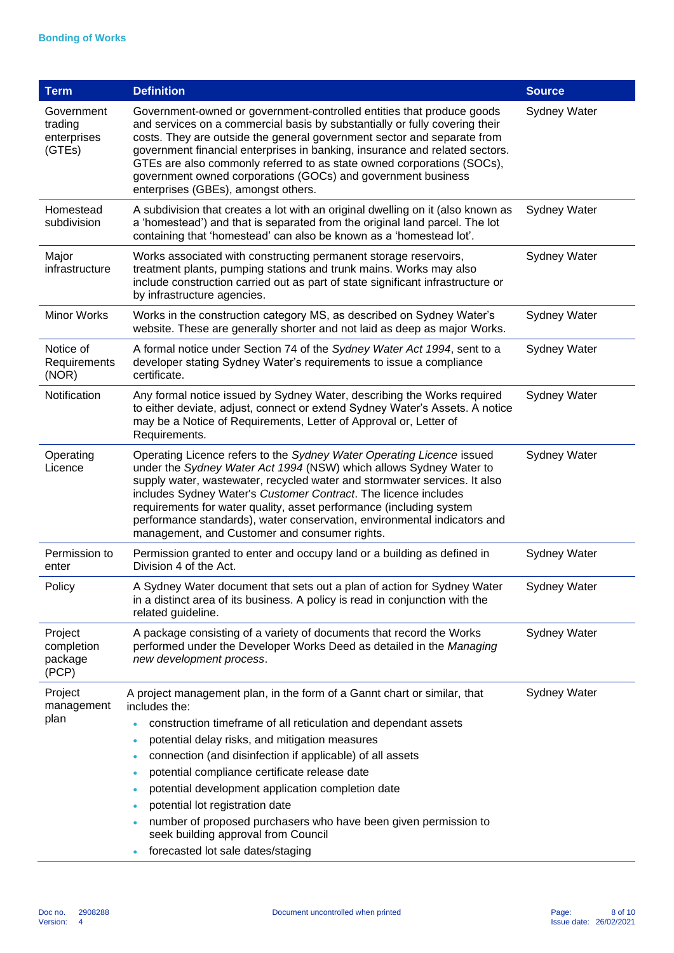| <b>Term</b>                                    | <b>Definition</b>                                                                                                                                                                                                                                                                                                                                                                                                                                                                                                      | <b>Source</b> |  |  |  |
|------------------------------------------------|------------------------------------------------------------------------------------------------------------------------------------------------------------------------------------------------------------------------------------------------------------------------------------------------------------------------------------------------------------------------------------------------------------------------------------------------------------------------------------------------------------------------|---------------|--|--|--|
| Government<br>trading<br>enterprises<br>(GTEs) | Government-owned or government-controlled entities that produce goods<br><b>Sydney Water</b><br>and services on a commercial basis by substantially or fully covering their<br>costs. They are outside the general government sector and separate from<br>government financial enterprises in banking, insurance and related sectors.<br>GTEs are also commonly referred to as state owned corporations (SOCs),<br>government owned corporations (GOCs) and government business<br>enterprises (GBEs), amongst others. |               |  |  |  |
| Homestead<br>subdivision                       | A subdivision that creates a lot with an original dwelling on it (also known as<br><b>Sydney Water</b><br>a 'homestead') and that is separated from the original land parcel. The lot<br>containing that 'homestead' can also be known as a 'homestead lot'.                                                                                                                                                                                                                                                           |               |  |  |  |
| Major<br>infrastructure                        | Works associated with constructing permanent storage reservoirs,<br>treatment plants, pumping stations and trunk mains. Works may also<br>include construction carried out as part of state significant infrastructure or<br>by infrastructure agencies.                                                                                                                                                                                                                                                               | Sydney Water  |  |  |  |
| Minor Works                                    | Works in the construction category MS, as described on Sydney Water's<br>website. These are generally shorter and not laid as deep as major Works.                                                                                                                                                                                                                                                                                                                                                                     | Sydney Water  |  |  |  |
| Notice of<br>Requirements<br>(NOR)             | A formal notice under Section 74 of the Sydney Water Act 1994, sent to a<br>Sydney Water<br>developer stating Sydney Water's requirements to issue a compliance<br>certificate.                                                                                                                                                                                                                                                                                                                                        |               |  |  |  |
| Notification                                   | Any formal notice issued by Sydney Water, describing the Works required<br>Sydney Water<br>to either deviate, adjust, connect or extend Sydney Water's Assets. A notice<br>may be a Notice of Requirements, Letter of Approval or, Letter of<br>Requirements.                                                                                                                                                                                                                                                          |               |  |  |  |
| Operating<br>Licence                           | Operating Licence refers to the Sydney Water Operating Licence issued<br>Sydney Water<br>under the Sydney Water Act 1994 (NSW) which allows Sydney Water to<br>supply water, wastewater, recycled water and stormwater services. It also<br>includes Sydney Water's Customer Contract. The licence includes<br>requirements for water quality, asset performance (including system<br>performance standards), water conservation, environmental indicators and<br>management, and Customer and consumer rights.        |               |  |  |  |
| Permission to<br>enter                         | Sydney Water<br>Permission granted to enter and occupy land or a building as defined in<br>Division 4 of the Act.                                                                                                                                                                                                                                                                                                                                                                                                      |               |  |  |  |
| Policy                                         | A Sydney Water document that sets out a plan of action for Sydney Water<br>Sydney Water<br>in a distinct area of its business. A policy is read in conjunction with the<br>related guideline.                                                                                                                                                                                                                                                                                                                          |               |  |  |  |
| Project<br>completion<br>package<br>(PCP)      | A package consisting of a variety of documents that record the Works<br><b>Sydney Water</b><br>performed under the Developer Works Deed as detailed in the Managing<br>new development process.                                                                                                                                                                                                                                                                                                                        |               |  |  |  |
| Project<br>management                          | A project management plan, in the form of a Gannt chart or similar, that<br>includes the:                                                                                                                                                                                                                                                                                                                                                                                                                              | Sydney Water  |  |  |  |
| plan                                           | construction timeframe of all reticulation and dependant assets                                                                                                                                                                                                                                                                                                                                                                                                                                                        |               |  |  |  |
|                                                | potential delay risks, and mitigation measures<br>$\bullet$                                                                                                                                                                                                                                                                                                                                                                                                                                                            |               |  |  |  |
|                                                | connection (and disinfection if applicable) of all assets                                                                                                                                                                                                                                                                                                                                                                                                                                                              |               |  |  |  |
|                                                | potential compliance certificate release date                                                                                                                                                                                                                                                                                                                                                                                                                                                                          |               |  |  |  |
|                                                | potential development application completion date                                                                                                                                                                                                                                                                                                                                                                                                                                                                      |               |  |  |  |
|                                                | potential lot registration date<br>number of proposed purchasers who have been given permission to                                                                                                                                                                                                                                                                                                                                                                                                                     |               |  |  |  |
|                                                | seek building approval from Council                                                                                                                                                                                                                                                                                                                                                                                                                                                                                    |               |  |  |  |
|                                                | forecasted lot sale dates/staging                                                                                                                                                                                                                                                                                                                                                                                                                                                                                      |               |  |  |  |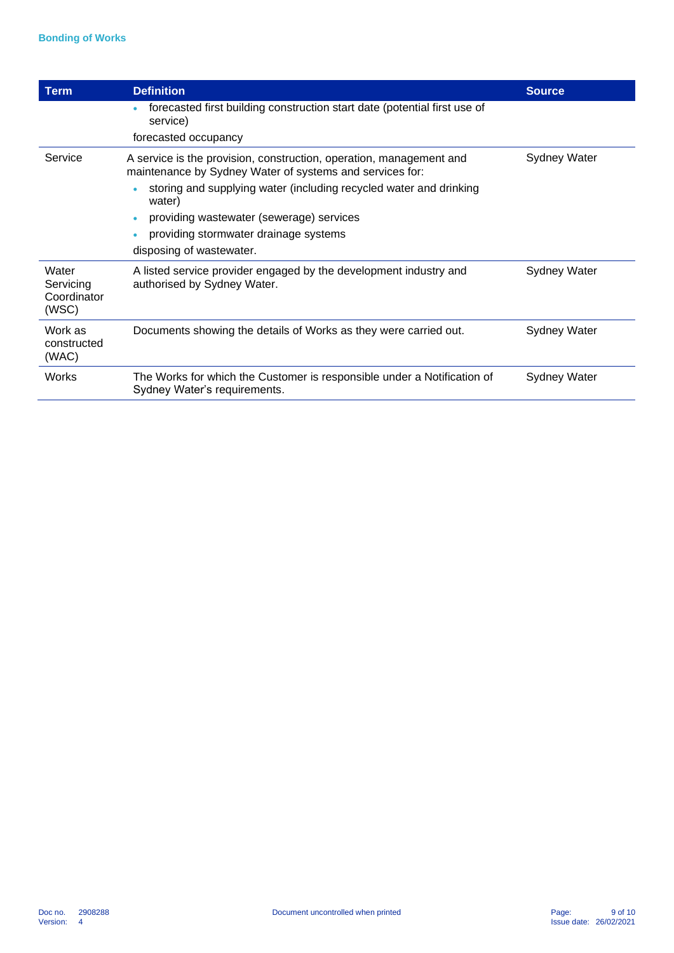| <b>Term</b>                                | <b>Definition</b>                                                                                                               | <b>Source</b>       |  |
|--------------------------------------------|---------------------------------------------------------------------------------------------------------------------------------|---------------------|--|
|                                            | forecasted first building construction start date (potential first use of<br>service)                                           |                     |  |
|                                            | forecasted occupancy                                                                                                            |                     |  |
| Service                                    | A service is the provision, construction, operation, management and<br>maintenance by Sydney Water of systems and services for: | Sydney Water        |  |
|                                            | storing and supplying water (including recycled water and drinking<br>water)                                                    |                     |  |
|                                            | providing wastewater (sewerage) services                                                                                        |                     |  |
|                                            | providing stormwater drainage systems                                                                                           |                     |  |
|                                            | disposing of wastewater.                                                                                                        |                     |  |
| Water<br>Servicing<br>Coordinator<br>(WSC) | A listed service provider engaged by the development industry and<br>Sydney Water<br>authorised by Sydney Water.                |                     |  |
| Work as<br>constructed<br>(WAC)            | Documents showing the details of Works as they were carried out.                                                                | <b>Sydney Water</b> |  |
| Works                                      | The Works for which the Customer is responsible under a Notification of<br>Sydney Water's requirements.                         | Sydney Water        |  |